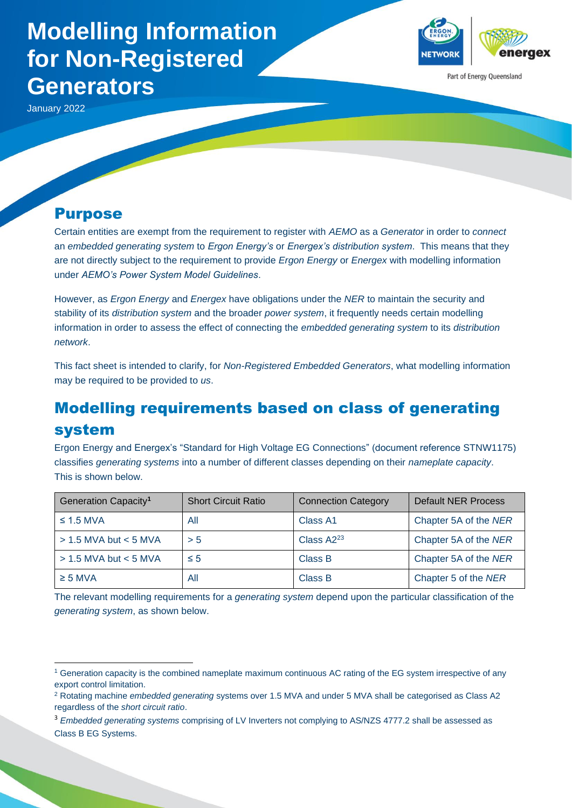# **Modelling Information for Non-Registered Generators**

January 2022

#### Purpose

Certain entities are exempt from the requirement to register with *AEMO* as a *Generator* in order to *connect* an *embedded generating system* to *Ergon Energy's* or *Energex's distribution system*. This means that they are not directly subject to the requirement to provide *Ergon Energy* or *Energex* with modelling information under *AEMO's Power System Model Guidelines*.

VETWORI

Part of Energy Queensland

However, as *Ergon Energy* and *Energex* have obligations under the *NER* to maintain the security and stability of its *distribution system* and the broader *power system*, it frequently needs certain modelling information in order to assess the effect of connecting the *embedded generating system* to its *distribution network*.

This fact sheet is intended to clarify, for *Non-Registered Embedded Generators*, what modelling information may be required to be provided to *us*.

# Modelling requirements based on class of generating system

Ergon Energy and Energex's "Standard for High Voltage EG Connections" (document reference STNW1175) classifies *generating systems* into a number of different classes depending on their *nameplate capacity*. This is shown below.

| Generation Capacity <sup>1</sup> | <b>Short Circuit Ratio</b> | <b>Connection Category</b> | <b>Default NER Process</b> |
|----------------------------------|----------------------------|----------------------------|----------------------------|
| $\leq$ 1.5 MVA                   | All                        | Class A1                   | Chapter 5A of the NER      |
| $> 1.5$ MVA but $< 5$ MVA        | > 5                        | Class A2 <sup>23</sup>     | Chapter 5A of the NER      |
| $> 1.5$ MVA but < 5 MVA          | $\leq 5$                   | Class B                    | Chapter 5A of the NER      |
| $\geq$ 5 MVA                     | All                        | Class B                    | Chapter 5 of the NER       |

The relevant modelling requirements for a *generating system* depend upon the particular classification of the *generating system*, as shown below.

<sup>1</sup> Generation capacity is the combined nameplate maximum continuous AC rating of the EG system irrespective of any export control limitation.

<sup>2</sup> Rotating machine *embedded generating* systems over 1.5 MVA and under 5 MVA shall be categorised as Class A2 regardless of the *short circuit ratio*.

<sup>3</sup> *Embedded generating systems* comprising of LV Inverters not complying to AS/NZS 4777.2 shall be assessed as Class B EG Systems.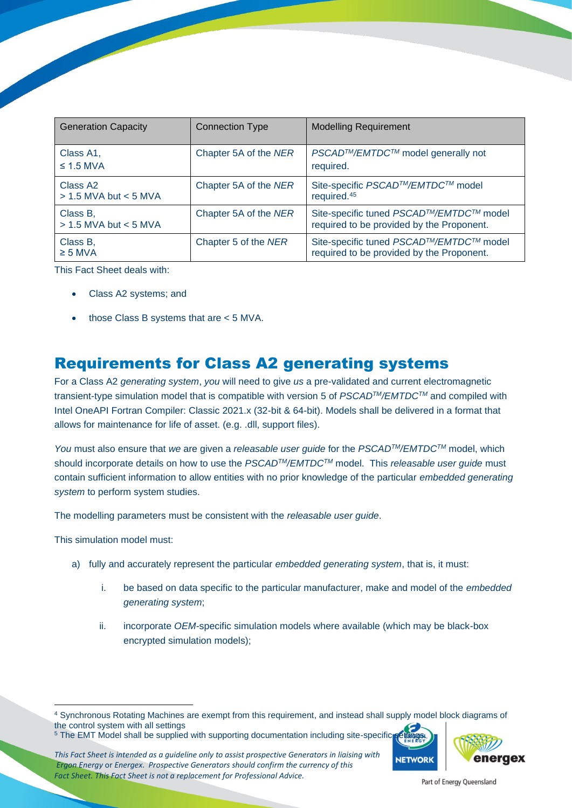| <b>Generation Capacity</b>                        | <b>Connection Type</b> | <b>Modelling Requirement</b>                                                         |
|---------------------------------------------------|------------------------|--------------------------------------------------------------------------------------|
| Class A1,<br>$\leq$ 1.5 MVA                       | Chapter 5A of the NER  | <i>PSCAD™/EMTDC™</i> model generally not<br>required.                                |
| Class A <sub>2</sub><br>$> 1.5$ MVA but $< 5$ MVA | Chapter 5A of the NER  | Site-specific PSCAD™/EMTDC™ model<br>required. <sup>45</sup>                         |
| Class B,<br>$> 1.5$ MVA but $< 5$ MVA             | Chapter 5A of the NER  | Site-specific tuned PSCAD™/EMTDC™ model<br>required to be provided by the Proponent. |
| Class B,<br>$\geq$ 5 MVA                          | Chapter 5 of the NER   | Site-specific tuned PSCAD™/EMTDC™ model<br>required to be provided by the Proponent. |

This Fact Sheet deals with:

- Class A2 systems; and
- those Class B systems that are  $<$  5 MVA.

#### Requirements for Class A2 generating systems

For a Class A2 *generating system*, *you* will need to give *us* a pre-validated and current electromagnetic transient-type simulation model that is compatible with version 5 of *PSCADTM/EMTDCTM* and compiled with Intel OneAPI Fortran Compiler: Classic 2021.x (32-bit & 64-bit). Models shall be delivered in a format that allows for maintenance for life of asset. (e.g. .dll, support files).

*You* must also ensure that *we* are given a *releasable user guide* for the *PSCADTM/EMTDCTM* model, which should incorporate details on how to use the *PSCADTM/EMTDCTM* model. This *releasable user guide* must contain sufficient information to allow entities with no prior knowledge of the particular *embedded generating system* to perform system studies.

The modelling parameters must be consistent with the *releasable user guide*.

This simulation model must:

- a) fully and accurately represent the particular *embedded generating system*, that is, it must:
	- i. be based on data specific to the particular manufacturer, make and model of the *embedded generating system*;
	- ii. incorporate *OEM*-specific simulation models where available (which may be black-box encrypted simulation models);

*This Fact Sheet is intended as a guideline only to assist prospective Generators in liaising with Ergon Energy* or *Energex. Prospective Generators should confirm the currency of this Fact Sheet. This Fact Sheet is not a replacement for Professional Advice.* 



<sup>4</sup> Synchronous Rotating Machines are exempt from this requirement, and instead shall supply model block diagrams of the control system with all settings

<sup>&</sup>lt;sup>5</sup> The EMT Model shall be supplied with supporting documentation including site-specific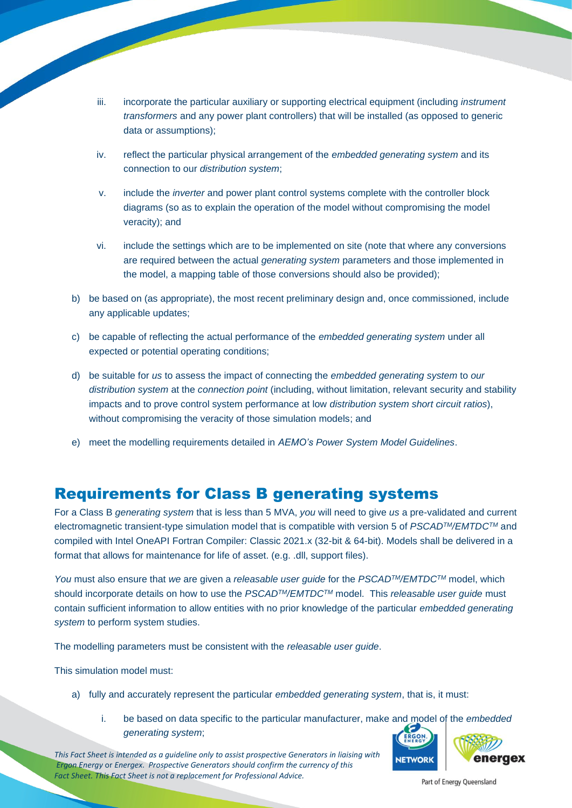- iii. incorporate the particular auxiliary or supporting electrical equipment (including *instrument transformers* and any power plant controllers) that will be installed (as opposed to generic data or assumptions);
- iv. reflect the particular physical arrangement of the *embedded generating system* and its connection to our *distribution system*;
- v. include the *inverter* and power plant control systems complete with the controller block diagrams (so as to explain the operation of the model without compromising the model veracity); and
- vi. include the settings which are to be implemented on site (note that where any conversions are required between the actual *generating system* parameters and those implemented in the model, a mapping table of those conversions should also be provided);
- b) be based on (as appropriate), the most recent preliminary design and, once commissioned, include any applicable updates;
- c) be capable of reflecting the actual performance of the *embedded generating system* under all expected or potential operating conditions;
- d) be suitable for *us* to assess the impact of connecting the *embedded generating system* to *our distribution system* at the *connection point* (including, without limitation, relevant security and stability impacts and to prove control system performance at low *distribution system short circuit ratios*), without compromising the veracity of those simulation models; and
- e) meet the modelling requirements detailed in *AEMO's Power System Model Guidelines*.

#### Requirements for Class B generating systems

For a Class B *generating system* that is less than 5 MVA, *you* will need to give *us* a pre-validated and current electromagnetic transient-type simulation model that is compatible with version 5 of *PSCADTM/EMTDCTM* and compiled with Intel OneAPI Fortran Compiler: Classic 2021.x (32-bit & 64-bit). Models shall be delivered in a format that allows for maintenance for life of asset. (e.g. .dll, support files).

*You* must also ensure that *we* are given a *releasable user guide* for the *PSCADTM/EMTDCTM* model, which should incorporate details on how to use the *PSCADTM/EMTDCTM* model. This *releasable user guide* must contain sufficient information to allow entities with no prior knowledge of the particular *embedded generating system* to perform system studies.

The modelling parameters must be consistent with the *releasable user guide*.

This simulation model must:

- a) fully and accurately represent the particular *embedded generating system*, that is, it must:
	- i. be based on data specific to the particular manufacturer, make and model of the *embedded generating system*;

*This Fact Sheet is intended as a guideline only to assist prospective Generators in liaising with Ergon Energy* or *Energex. Prospective Generators should confirm the currency of this Fact Sheet. This Fact Sheet is not a replacement for Professional Advice.* 



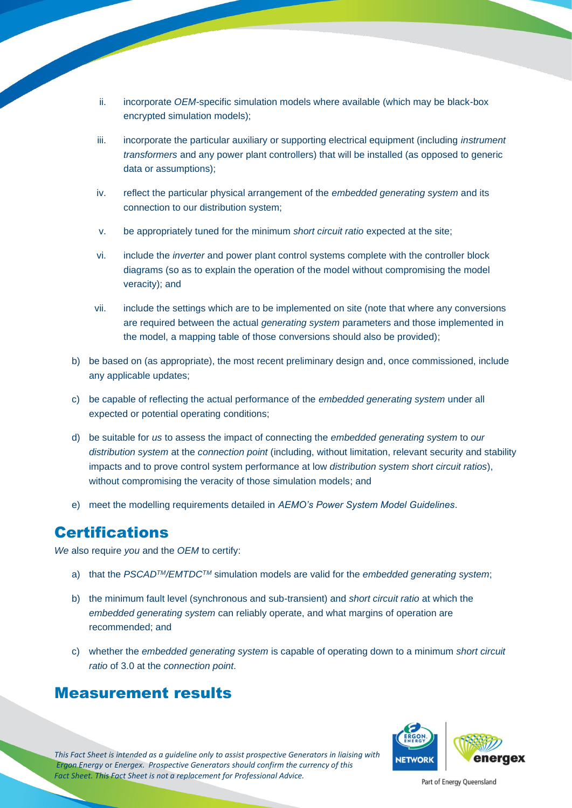- ii. incorporate *OEM*-specific simulation models where available (which may be black-box encrypted simulation models);
- iii. incorporate the particular auxiliary or supporting electrical equipment (including *instrument transformers* and any power plant controllers) that will be installed (as opposed to generic data or assumptions);
- iv. reflect the particular physical arrangement of the *embedded generating system* and its connection to our distribution system;
- v. be appropriately tuned for the minimum *short circuit ratio* expected at the site;
- vi. include the *inverter* and power plant control systems complete with the controller block diagrams (so as to explain the operation of the model without compromising the model veracity); and
- vii. include the settings which are to be implemented on site (note that where any conversions are required between the actual *generating system* parameters and those implemented in the model, a mapping table of those conversions should also be provided);
- b) be based on (as appropriate), the most recent preliminary design and, once commissioned, include any applicable updates;
- c) be capable of reflecting the actual performance of the *embedded generating system* under all expected or potential operating conditions;
- d) be suitable for *us* to assess the impact of connecting the *embedded generating system* to *our distribution system* at the *connection point* (including, without limitation, relevant security and stability impacts and to prove control system performance at low *distribution system short circuit ratios*), without compromising the veracity of those simulation models; and
- e) meet the modelling requirements detailed in *AEMO's Power System Model Guidelines*.

## **Certifications**

*We* also require *you* and the *OEM* to certify:

- a) that the *PSCADTM/EMTDCTM* simulation models are valid for the *embedded generating system*;
- b) the minimum fault level (synchronous and sub-transient) and *short circuit ratio* at which the *embedded generating system* can reliably operate, and what margins of operation are recommended; and
- c) whether the *embedded generating system* is capable of operating down to a minimum *short circuit ratio* of 3.0 at the *connection point*.

#### Measurement results



*This Fact Sheet is intended as a guideline only to assist prospective Generators in liaising with Ergon Energy* or *Energex. Prospective Generators should confirm the currency of this Fact Sheet. This Fact Sheet is not a replacement for Professional Advice.*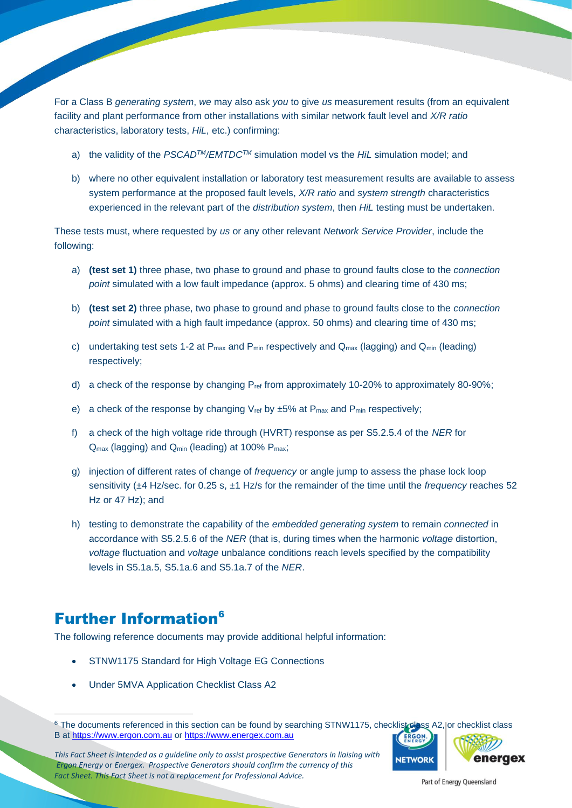For a Class B *generating system*, *we* may also ask *you* to give *us* measurement results (from an equivalent facility and plant performance from other installations with similar network fault level and *X/R ratio*  characteristics, laboratory tests, *HiL*, etc.) confirming:

- a) the validity of the *PSCADTM/EMTDCTM* simulation model vs the *HiL* simulation model; and
- b) where no other equivalent installation or laboratory test measurement results are available to assess system performance at the proposed fault levels, *X/R ratio* and *system strength* characteristics experienced in the relevant part of the *distribution system*, then *HiL* testing must be undertaken.

These tests must, where requested by *us* or any other relevant *Network Service Provider*, include the following:

- a) **(test set 1)** three phase, two phase to ground and phase to ground faults close to the *connection point* simulated with a low fault impedance (approx. 5 ohms) and clearing time of 430 ms;
- b) **(test set 2)** three phase, two phase to ground and phase to ground faults close to the *connection point* simulated with a high fault impedance (approx. 50 ohms) and clearing time of 430 ms;
- c) undertaking test sets 1-2 at  $P_{\text{max}}$  and  $P_{\text{min}}$  respectively and  $Q_{\text{max}}$  (lagging) and  $Q_{\text{min}}$  (leading) respectively;
- d) a check of the response by changing  $P_{ref}$  from approximately 10-20% to approximately 80-90%;
- e) a check of the response by changing  $V_{ref}$  by  $\pm 5\%$  at  $P_{max}$  and  $P_{min}$  respectively;
- f) a check of the high voltage ride through (HVRT) response as per S5.2.5.4 of the *NER* for Q<sub>max</sub> (lagging) and Q<sub>min</sub> (leading) at 100% P<sub>max</sub>;
- g) injection of different rates of change of *frequency* or angle jump to assess the phase lock loop sensitivity (±4 Hz/sec. for 0.25 s, ±1 Hz/s for the remainder of the time until the *frequency* reaches 52 Hz or 47 Hz); and
- h) testing to demonstrate the capability of the *embedded generating system* to remain *connected* in accordance with S5.2.5.6 of the *NER* (that is, during times when the harmonic *voltage* distortion, *voltage* fluctuation and *voltage* unbalance conditions reach levels specified by the compatibility levels in S5.1a.5, S5.1a.6 and S5.1a.7 of the *NER*.

#### **Further Information<sup>6</sup>**

The following reference documents may provide additional helpful information:

- STNW1175 Standard for High Voltage EG Connections
- Under 5MVA Application Checklist Class A2

*This Fact Sheet is intended as a guideline only to assist prospective Generators in liaising with Ergon Energy* or *Energex. Prospective Generators should confirm the currency of this Fact Sheet. This Fact Sheet is not a replacement for Professional Advice.* 



<sup>&</sup>lt;sup>6</sup> The documents referenced in this section can be found by searching STNW1175, checklist class A2, or checklist class B at [https://www.ergon.com.au](https://www.ergon.com.au/) or [https://www.energex.com.au](https://www.energex.com.au/)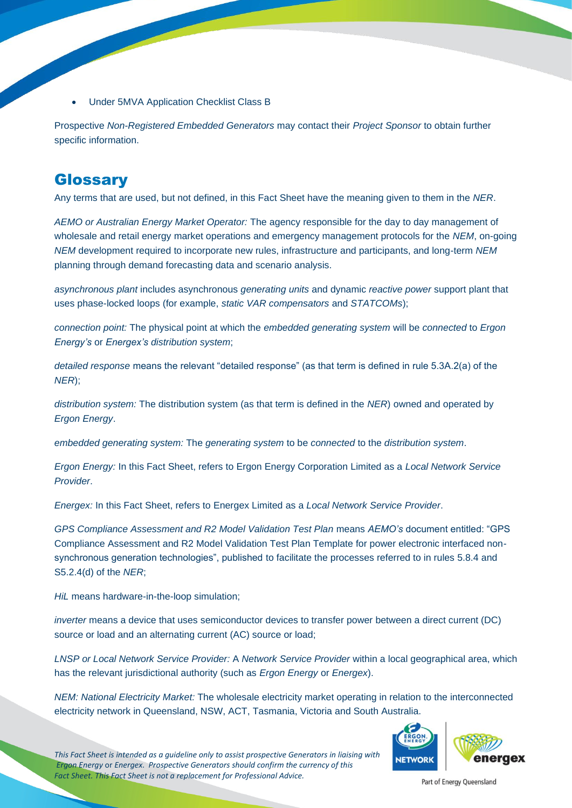• Under 5MVA Application Checklist Class B

Prospective *Non-Registered Embedded Generators* may contact their *Project Sponsor* to obtain further specific information.

### **Glossary**

Any terms that are used, but not defined, in this Fact Sheet have the meaning given to them in the *NER*.

*AEMO or Australian Energy Market Operator:* The agency responsible for the day to day management of wholesale and retail energy market operations and emergency management protocols for the *NEM*, on-going *NEM* development required to incorporate new rules, infrastructure and participants, and long-term *NEM* planning through demand forecasting data and scenario analysis.

*asynchronous plant* includes asynchronous *generating units* and dynamic *reactive power* support plant that uses phase-locked loops (for example, *static VAR compensators* and *STATCOMs*);

*connection point:* The physical point at which the *embedded generating system* will be *connected* to *Ergon Energy's* or *Energex's distribution system*;

*detailed response* means the relevant "detailed response" (as that term is defined in rule 5.3A.2(a) of the *NER*);

*distribution system:* The distribution system (as that term is defined in the *NER*) owned and operated by *Ergon Energy*.

*embedded generating system:* The *generating system* to be *connected* to the *distribution system*.

*Ergon Energy:* In this Fact Sheet, refers to Ergon Energy Corporation Limited as a *Local Network Service Provider*.

*Energex:* In this Fact Sheet, refers to Energex Limited as a *Local Network Service Provider*.

*GPS Compliance Assessment and R2 Model Validation Test Plan* means *AEMO's* document entitled: "GPS Compliance Assessment and R2 Model Validation Test Plan Template for power electronic interfaced nonsynchronous generation technologies", published to facilitate the processes referred to in rules 5.8.4 and S5.2.4(d) of the *NER*;

*HiL* means hardware-in-the-loop simulation;

*inverter* means a device that uses semiconductor devices to transfer power between a direct current (DC) source or load and an alternating current (AC) source or load;

*LNSP or Local Network Service Provider:* A *Network Service Provider* within a local geographical area, which has the relevant jurisdictional authority (such as *Ergon Energy* or *Energex*).

*NEM: National Electricity Market:* The wholesale electricity market operating in relation to the interconnected electricity network in Queensland, NSW, ACT, Tasmania, Victoria and South Australia.



*This Fact Sheet is intended as a guideline only to assist prospective Generators in liaising with Ergon Energy* or *Energex. Prospective Generators should confirm the currency of this Fact Sheet. This Fact Sheet is not a replacement for Professional Advice.*